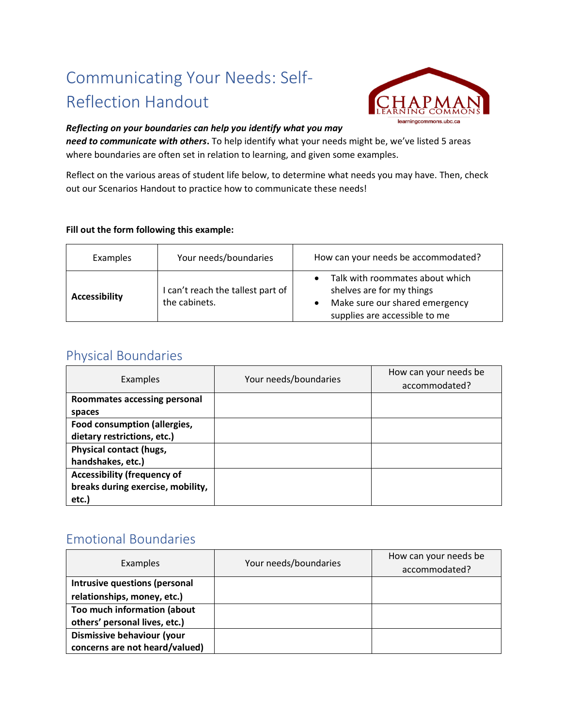# Communicating Your Needs: Self-Reflection Handout



#### *Reflecting on your boundaries can help you identify what you may*

*need to communicate with others***.** To help identify what your needs might be, we've listed 5 areas where boundaries are often set in relation to learning, and given some examples.

Reflect on the various areas of student life below, to determine what needs you may have. Then, check out our Scenarios Handout to practice how to communicate these needs!

#### **Fill out the form following this example:**

| <b>Examples</b>      | Your needs/boundaries                              | How can your needs be accommodated?                                                                                             |
|----------------------|----------------------------------------------------|---------------------------------------------------------------------------------------------------------------------------------|
| <b>Accessibility</b> | I can't reach the tallest part of<br>the cabinets. | Talk with roommates about which<br>shelves are for my things<br>Make sure our shared emergency<br>supplies are accessible to me |

### Physical Boundaries

| Examples                           | Your needs/boundaries | How can your needs be<br>accommodated? |
|------------------------------------|-----------------------|----------------------------------------|
| Roommates accessing personal       |                       |                                        |
| spaces                             |                       |                                        |
| Food consumption (allergies,       |                       |                                        |
| dietary restrictions, etc.)        |                       |                                        |
| Physical contact (hugs,            |                       |                                        |
| handshakes, etc.)                  |                       |                                        |
| <b>Accessibility (frequency of</b> |                       |                                        |
| breaks during exercise, mobility,  |                       |                                        |
| etc.)                              |                       |                                        |

## Emotional Boundaries

| Examples                       | Your needs/boundaries | How can your needs be<br>accommodated? |
|--------------------------------|-----------------------|----------------------------------------|
| Intrusive questions (personal  |                       |                                        |
| relationships, money, etc.)    |                       |                                        |
| Too much information (about    |                       |                                        |
| others' personal lives, etc.)  |                       |                                        |
| Dismissive behaviour (your     |                       |                                        |
| concerns are not heard/valued) |                       |                                        |